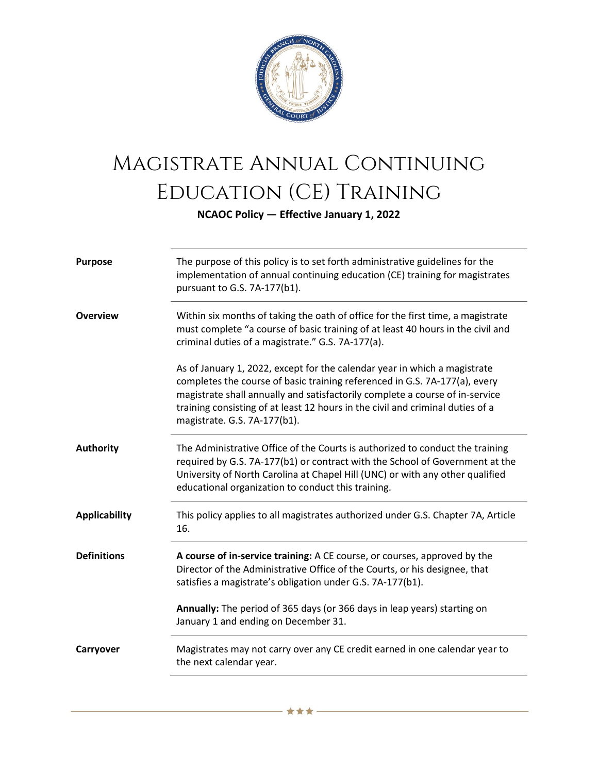

## Magistrate Annual Continuing Education (CE) Training

**NCAOC Policy — Effective January 1, 2022**

| <b>Purpose</b>       | The purpose of this policy is to set forth administrative guidelines for the<br>implementation of annual continuing education (CE) training for magistrates<br>pursuant to G.S. 7A-177(b1).                                                                                                                                                               |
|----------------------|-----------------------------------------------------------------------------------------------------------------------------------------------------------------------------------------------------------------------------------------------------------------------------------------------------------------------------------------------------------|
| <b>Overview</b>      | Within six months of taking the oath of office for the first time, a magistrate<br>must complete "a course of basic training of at least 40 hours in the civil and<br>criminal duties of a magistrate." G.S. 7A-177(a).                                                                                                                                   |
|                      | As of January 1, 2022, except for the calendar year in which a magistrate<br>completes the course of basic training referenced in G.S. 7A-177(a), every<br>magistrate shall annually and satisfactorily complete a course of in-service<br>training consisting of at least 12 hours in the civil and criminal duties of a<br>magistrate. G.S. 7A-177(b1). |
| <b>Authority</b>     | The Administrative Office of the Courts is authorized to conduct the training<br>required by G.S. 7A-177(b1) or contract with the School of Government at the<br>University of North Carolina at Chapel Hill (UNC) or with any other qualified<br>educational organization to conduct this training.                                                      |
| <b>Applicability</b> | This policy applies to all magistrates authorized under G.S. Chapter 7A, Article<br>16.                                                                                                                                                                                                                                                                   |
| <b>Definitions</b>   | A course of in-service training: A CE course, or courses, approved by the<br>Director of the Administrative Office of the Courts, or his designee, that<br>satisfies a magistrate's obligation under G.S. 7A-177(b1).                                                                                                                                     |
|                      | Annually: The period of 365 days (or 366 days in leap years) starting on<br>January 1 and ending on December 31.                                                                                                                                                                                                                                          |
| Carryover            | Magistrates may not carry over any CE credit earned in one calendar year to<br>the next calendar year.                                                                                                                                                                                                                                                    |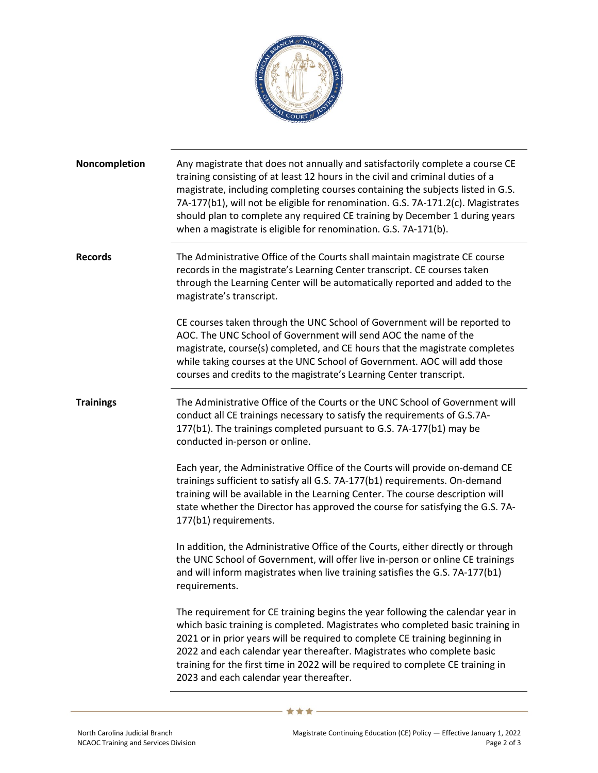

| Noncompletion    | Any magistrate that does not annually and satisfactorily complete a course CE<br>training consisting of at least 12 hours in the civil and criminal duties of a<br>magistrate, including completing courses containing the subjects listed in G.S.<br>7A-177(b1), will not be eligible for renomination. G.S. 7A-171.2(c). Magistrates<br>should plan to complete any required CE training by December 1 during years<br>when a magistrate is eligible for renomination. G.S. 7A-171(b). |
|------------------|------------------------------------------------------------------------------------------------------------------------------------------------------------------------------------------------------------------------------------------------------------------------------------------------------------------------------------------------------------------------------------------------------------------------------------------------------------------------------------------|
| <b>Records</b>   | The Administrative Office of the Courts shall maintain magistrate CE course<br>records in the magistrate's Learning Center transcript. CE courses taken<br>through the Learning Center will be automatically reported and added to the<br>magistrate's transcript.                                                                                                                                                                                                                       |
|                  | CE courses taken through the UNC School of Government will be reported to<br>AOC. The UNC School of Government will send AOC the name of the<br>magistrate, course(s) completed, and CE hours that the magistrate completes<br>while taking courses at the UNC School of Government. AOC will add those<br>courses and credits to the magistrate's Learning Center transcript.                                                                                                           |
| <b>Trainings</b> | The Administrative Office of the Courts or the UNC School of Government will<br>conduct all CE trainings necessary to satisfy the requirements of G.S.7A-<br>177(b1). The trainings completed pursuant to G.S. 7A-177(b1) may be<br>conducted in-person or online.                                                                                                                                                                                                                       |
|                  | Each year, the Administrative Office of the Courts will provide on-demand CE<br>trainings sufficient to satisfy all G.S. 7A-177(b1) requirements. On-demand<br>training will be available in the Learning Center. The course description will<br>state whether the Director has approved the course for satisfying the G.S. 7A-<br>177(b1) requirements.                                                                                                                                 |
|                  | In addition, the Administrative Office of the Courts, either directly or through<br>the UNC School of Government, will offer live in-person or online CE trainings<br>and will inform magistrates when live training satisfies the G.S. 7A-177(b1)<br>requirements.                                                                                                                                                                                                                      |
|                  | The requirement for CE training begins the year following the calendar year in<br>which basic training is completed. Magistrates who completed basic training in<br>2021 or in prior years will be required to complete CE training beginning in<br>2022 and each calendar year thereafter. Magistrates who complete basic<br>training for the first time in 2022 will be required to complete CE training in<br>2023 and each calendar year thereafter.                                 |

- ★ ★ ★ 一